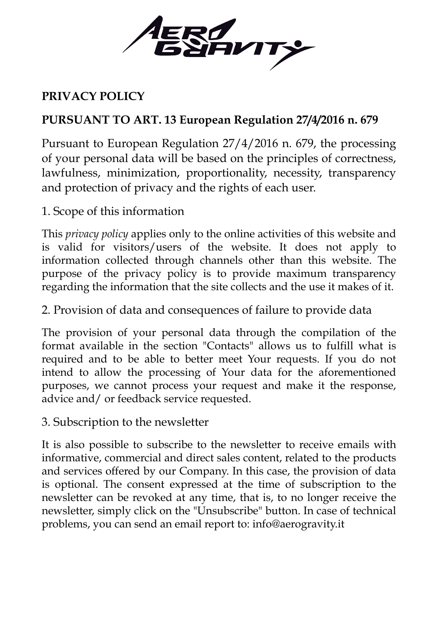

## **PRIVACY POLICY**

## **PURSUANT TO ART. 13 European Regulation 27/4/2016 n. 679**

Pursuant to European Regulation 27/4/2016 n. 679, the processing of your personal data will be based on the principles of correctness, lawfulness, minimization, proportionality, necessity, transparency and protection of privacy and the rights of each user.

1. Scope of this information

This *privacy policy* applies only to the online activities of this website and is valid for visitors/users of the website. It does not apply to information collected through channels other than this website. The purpose of the privacy policy is to provide maximum transparency regarding the information that the site collects and the use it makes of it.

2. Provision of data and consequences of failure to provide data

The provision of your personal data through the compilation of the format available in the section "Contacts" allows us to fulfill what is required and to be able to better meet Your requests. If you do not intend to allow the processing of Your data for the aforementioned purposes, we cannot process your request and make it the response, advice and/ or feedback service requested.

3. Subscription to the newsletter

It is also possible to subscribe to the newsletter to receive emails with informative, commercial and direct sales content, related to the products and services offered by our Company. In this case, the provision of data is optional. The consent expressed at the time of subscription to the newsletter can be revoked at any time, that is, to no longer receive the newsletter, simply click on the "Unsubscribe" button. In case of technical problems, you can send an email report to: info@aerogravity.it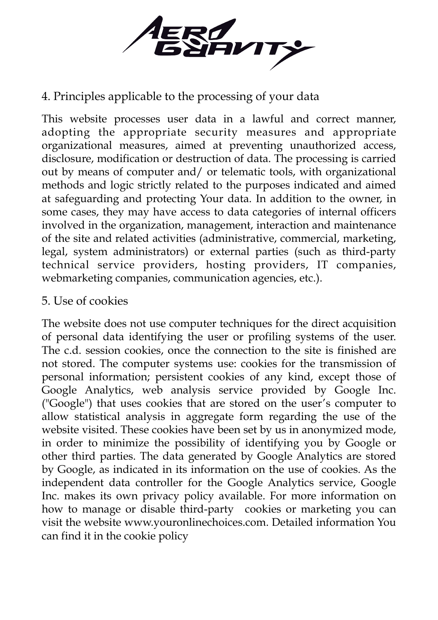

## 4. Principles applicable to the processing of your data

This website processes user data in a lawful and correct manner, adopting the appropriate security measures and appropriate organizational measures, aimed at preventing unauthorized access, disclosure, modification or destruction of data. The processing is carried out by means of computer and/ or telematic tools, with organizational methods and logic strictly related to the purposes indicated and aimed at safeguarding and protecting Your data. In addition to the owner, in some cases, they may have access to data categories of internal officers involved in the organization, management, interaction and maintenance of the site and related activities (administrative, commercial, marketing, legal, system administrators) or external parties (such as third-party technical service providers, hosting providers, IT companies, webmarketing companies, communication agencies, etc.).

## 5. Use of cookies

The website does not use computer techniques for the direct acquisition of personal data identifying the user or profiling systems of the user. The c.d. session cookies, once the connection to the site is finished are not stored. The computer systems use: cookies for the transmission of personal information; persistent cookies of any kind, except those of Google Analytics, web analysis service provided by Google Inc. ("Google") that uses cookies that are stored on the user's computer to allow statistical analysis in aggregate form regarding the use of the website visited. These cookies have been set by us in anonymized mode, in order to minimize the possibility of identifying you by Google or other third parties. The data generated by Google Analytics are stored by Google, as indicated in its information on the use of cookies. As the independent data controller for the Google Analytics service, Google Inc. makes its own privacy policy available. For more information on how to manage or disable third-party cookies or marketing you can visit the website www.youronlinechoices.com. Detailed information You can find it in the cookie policy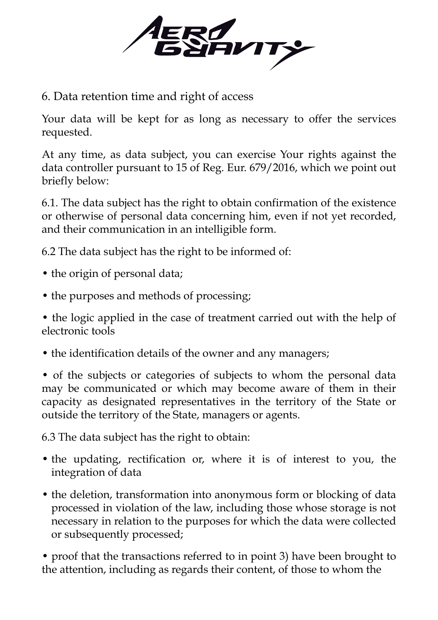

6. Data retention time and right of access

Your data will be kept for as long as necessary to offer the services requested.

At any time, as data subject, you can exercise Your rights against the data controller pursuant to 15 of Reg. Eur. 679/2016, which we point out briefly below:

6.1. The data subject has the right to obtain confirmation of the existence or otherwise of personal data concerning him, even if not yet recorded, and their communication in an intelligible form.

6.2 The data subject has the right to be informed of:

- the origin of personal data;
- the purposes and methods of processing;

• the logic applied in the case of treatment carried out with the help of electronic tools

• the identification details of the owner and any managers;

• of the subjects or categories of subjects to whom the personal data may be communicated or which may become aware of them in their capacity as designated representatives in the territory of the State or outside the territory of the State, managers or agents.

6.3 The data subject has the right to obtain:

- the updating, rectification or, where it is of interest to you, the integration of data
- the deletion, transformation into anonymous form or blocking of data processed in violation of the law, including those whose storage is not necessary in relation to the purposes for which the data were collected or subsequently processed;

• proof that the transactions referred to in point 3) have been brought to the attention, including as regards their content, of those to whom the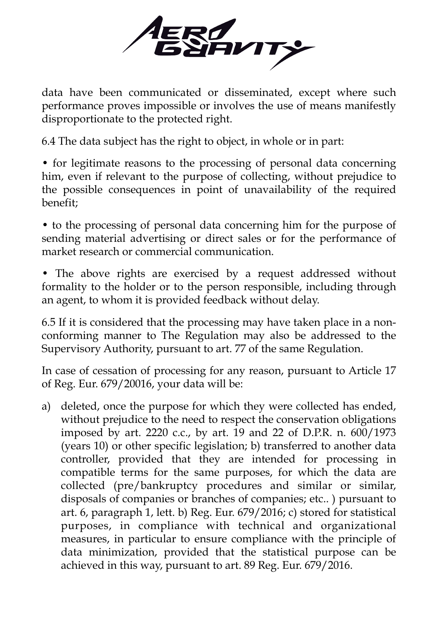

data have been communicated or disseminated, except where such performance proves impossible or involves the use of means manifestly disproportionate to the protected right.

6.4 The data subject has the right to object, in whole or in part:

• for legitimate reasons to the processing of personal data concerning him, even if relevant to the purpose of collecting, without prejudice to the possible consequences in point of unavailability of the required benefit;

• to the processing of personal data concerning him for the purpose of sending material advertising or direct sales or for the performance of market research or commercial communication.

• The above rights are exercised by a request addressed without formality to the holder or to the person responsible, including through an agent, to whom it is provided feedback without delay.

6.5 If it is considered that the processing may have taken place in a nonconforming manner to The Regulation may also be addressed to the Supervisory Authority, pursuant to art. 77 of the same Regulation.

In case of cessation of processing for any reason, pursuant to Article 17 of Reg. Eur. 679/20016, your data will be:

a) deleted, once the purpose for which they were collected has ended, without prejudice to the need to respect the conservation obligations imposed by art. 2220 c.c., by art. 19 and 22 of D.P.R. n. 600/1973 (years 10) or other specific legislation; b) transferred to another data controller, provided that they are intended for processing in compatible terms for the same purposes, for which the data are collected (pre/bankruptcy procedures and similar or similar, disposals of companies or branches of companies; etc.. ) pursuant to art. 6, paragraph 1, lett. b) Reg. Eur. 679/2016; c) stored for statistical purposes, in compliance with technical and organizational measures, in particular to ensure compliance with the principle of data minimization, provided that the statistical purpose can be achieved in this way, pursuant to art. 89 Reg. Eur. 679/2016.